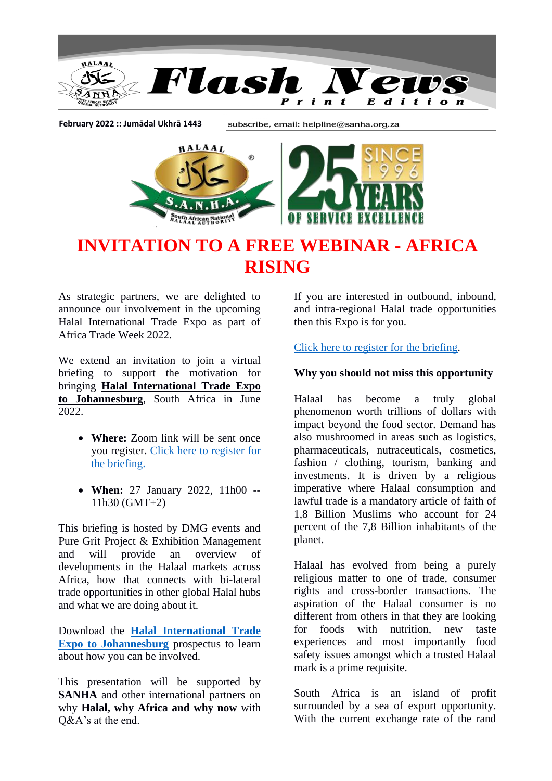

**February 2022 :: Jumādal Ukhrā 1443**

subscribe, email: helpline@sanha.org.za



## **INVITATION TO A FREE WEBINAR - AFRICA RISING**

As strategic partners, we are delighted to announce our involvement in the upcoming Halal International Trade Expo as part of Africa Trade Week 2022.

We extend an invitation to join a virtual briefing to support the motivation for bringing **Halal International Trade Expo to Johannesburg**, South Africa in June 2022.

- **Where:** Zoom link will be sent once you register. [Click here to register for](https://zoom.us/webinar/register/7316430257629/WN_tmKdgz0pTKeplaAwMKistQ)  [the briefing.](https://zoom.us/webinar/register/7316430257629/WN_tmKdgz0pTKeplaAwMKistQ)
- **When:** 27 January 2022, 11h00 -- 11h30 (GMT+2)

This briefing is hosted by DMG events and Pure Grit Project & Exhibition Management and will provide an overview of developments in the Halaal markets across Africa, how that connects with bi-lateral trade opportunities in other global Halal hubs and what we are doing about it.

Download the **[Halal International Trade](https://dmgemsforms.com/AB7hie/Default.aspx?id=2795)  [Expo to Johannesburg](https://dmgemsforms.com/AB7hie/Default.aspx?id=2795)** prospectus to learn about how you can be involved.

This presentation will be supported by **SANHA** and other international partners on why **Halal, why Africa and why now** with Q&A's at the end.

If you are interested in outbound, inbound, and intra-regional Halal trade opportunities then this Expo is for you.

[Click here to register for the briefing.](https://zoom.us/webinar/register/7316430257629/WN_tmKdgz0pTKeplaAwMKistQ)

## **Why you should not miss this opportunity**

Halaal has become a truly global phenomenon worth trillions of dollars with impact beyond the food sector. Demand has also mushroomed in areas such as logistics, pharmaceuticals, nutraceuticals, cosmetics, fashion / clothing, tourism, banking and investments. It is driven by a religious imperative where Halaal consumption and lawful trade is a mandatory article of faith of 1,8 Billion Muslims who account for 24 percent of the 7,8 Billion inhabitants of the planet.

Halaal has evolved from being a purely religious matter to one of trade, consumer rights and cross-border transactions. The aspiration of the Halaal consumer is no different from others in that they are looking for foods with nutrition, new taste experiences and most importantly food safety issues amongst which a trusted Halaal mark is a prime requisite.

South Africa is an island of profit surrounded by a sea of export opportunity. With the current exchange rate of the rand